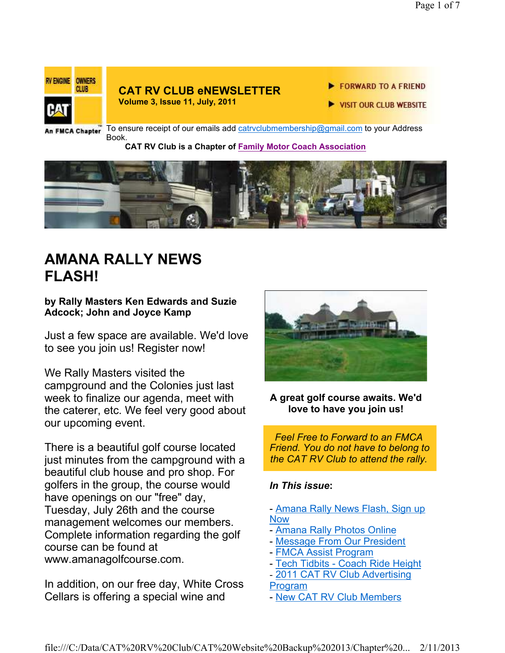

### **CAT RV CLUB eNEWSLETTER**

**Volume 3, Issue 11, July, 2011**

- FORWARD TO A FRIEND
- **VISIT OUR CLUB WEBSITE**

An FMCA Chapter

To ensure receipt of our emails add catrvclubmembership@gmail.com to your Address Book.

#### **CAT RV Club is a Chapter of Family Motor Coach Association**



## **AMANA RALLY NEWS FLASH!**

### **by Rally Masters Ken Edwards and Suzie Adcock; John and Joyce Kamp**

Just a few space are available. We'd love to see you join us! Register now!

We Rally Masters visited the campground and the Colonies just last week to finalize our agenda, meet with the caterer, etc. We feel very good about our upcoming event.

There is a beautiful golf course located just minutes from the campground with a beautiful club house and pro shop. For golfers in the group, the course would have openings on our "free" day, Tuesday, July 26th and the course management welcomes our members. Complete information regarding the golf course can be found at www.amanagolfcourse.com.

In addition, on our free day, White Cross Cellars is offering a special wine and



#### **A great golf course awaits. We'd love to have you join us!**

*Feel Free to Forward to an FMCA Friend. You do not have to belong to the CAT RV Club to attend the rally.*

### *In This issue***:**

- Amana Rally News Flash, Sign up **Now** 

- Amana Rally Photos Online
- Message From Our President
- FMCA Assist Program
- Tech Tidbits Coach Ride Height

- 2011 CAT RV Club Advertising

Program

- New CAT RV Club Members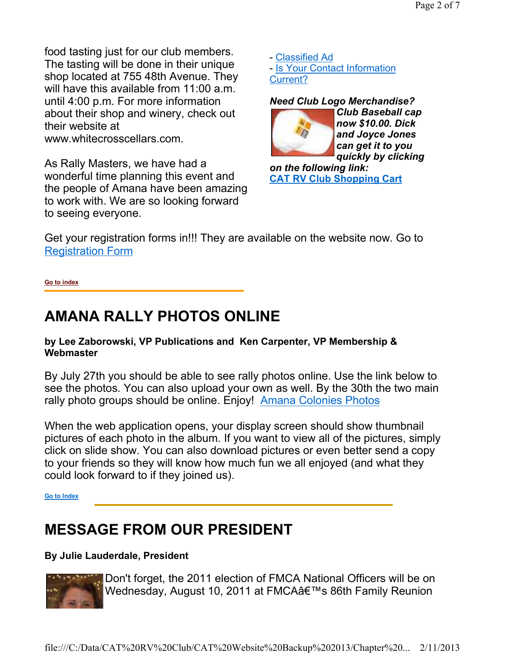food tasting just for our club members. The tasting will be done in their unique shop located at 755 48th Avenue. They will have this available from 11:00 a.m. until 4:00 p.m. For more information about their shop and winery, check out their website at www.whitecrosscellars.com.

As Rally Masters, we have had a wonderful time planning this event and the people of Amana have been amazing to work with. We are so looking forward to seeing everyone.

- Classified Ad - Is Your Contact Information Current?

*Need Club Logo Merchandise? Club Baseball cap now \$10.00. Dick and Joyce Jones can get it to you quickly by clicking* 

*on the following link:*  **CAT RV Club Shopping Cart**

Get your registration forms in!!! They are available on the website now. Go to Registration Form

**Go to index**

## **AMANA RALLY PHOTOS ONLINE**

### **by Lee Zaborowski, VP Publications and Ken Carpenter, VP Membership & Webmaster**

By July 27th you should be able to see rally photos online. Use the link below to see the photos. You can also upload your own as well. By the 30th the two main rally photo groups should be online. Enjoy! Amana Colonies Photos

When the web application opens, your display screen should show thumbnail pictures of each photo in the album. If you want to view all of the pictures, simply click on slide show. You can also download pictures or even better send a copy to your friends so they will know how much fun we all enjoyed (and what they could look forward to if they joined us).

**Go to Index**

# **MESSAGE FROM OUR PRESIDENT**

### **By Julie Lauderdale, President**



Don't forget, the 2011 election of FMCA National Officers will be on Wednesday, August 10, 2011 at FMCA's 86th Family Reunion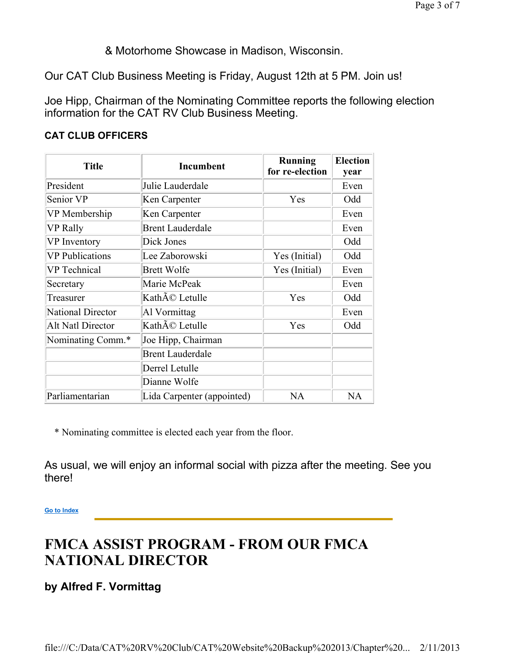& Motorhome Showcase in Madison, Wisconsin.

Our CAT Club Business Meeting is Friday, August 12th at 5 PM. Join us!

Joe Hipp, Chairman of the Nominating Committee reports the following election information for the CAT RV Club Business Meeting.

| <b>Title</b>             | <b>Incumbent</b>           | <b>Running</b><br>for re-election | <b>Election</b><br>year |
|--------------------------|----------------------------|-----------------------------------|-------------------------|
| President                | Julie Lauderdale           |                                   | Even                    |
| Senior VP                | Ken Carpenter              | Yes                               | Odd                     |
| VP Membership            | Ken Carpenter              |                                   | Even                    |
| <b>VP Rally</b>          | <b>Brent Lauderdale</b>    |                                   | Even                    |
| VP Inventory             | Dick Jones                 |                                   | Odd                     |
| <b>VP</b> Publications   | Lee Zaborowski             | Yes (Initial)                     | Odd                     |
| <b>VP</b> Technical      | <b>Brett Wolfe</b>         | Yes (Initial)                     | Even                    |
| Secretary                | Marie McPeak               |                                   | Even                    |
| Treasurer                | Kathé Letulle              | Yes                               | Odd                     |
| <b>National Director</b> | Al Vormittag               |                                   | Even                    |
| Alt Natl Director        | Kathé Letulle              | Yes                               | Odd                     |
| Nominating Comm.*        | Joe Hipp, Chairman         |                                   |                         |
|                          | <b>Brent Lauderdale</b>    |                                   |                         |
|                          | Derrel Letulle             |                                   |                         |
|                          | Dianne Wolfe               |                                   |                         |
| Parliamentarian          | Lida Carpenter (appointed) | <b>NA</b>                         | NA                      |

### **CAT CLUB OFFICERS**

\* Nominating committee is elected each year from the floor.

As usual, we will enjoy an informal social with pizza after the meeting. See you there!

**Go to Index**

# **FMCA ASSIST PROGRAM - FROM OUR FMCA NATIONAL DIRECTOR**

**by Alfred F. Vormittag**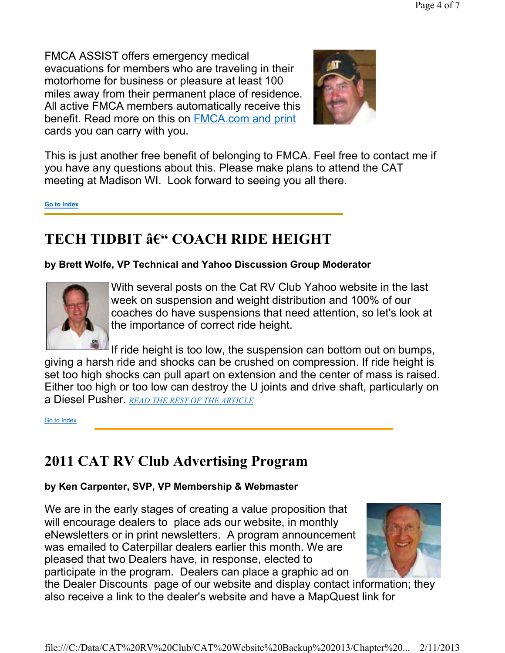FMCA ASSIST offers emergency medical evacuations for members who are traveling in their motorhome for business or pleasure at least 100 miles away from their permanent place of residence. All active FMCA members automatically receive this benefit. Read more on this on FMCA.com and print cards you can carry with you.



This is just another free benefit of belonging to FMCA. Feel free to contact me if you have any questions about this. Please make plans to attend the CAT meeting at Madison WI. Look forward to seeing you all there.

**Go to Index**

## **TECH TIDBIT – COACH RIDE HEIGHT**

### **by Brett Wolfe, VP Technical and Yahoo Discussion Group Moderator**



With several posts on the Cat RV Club Yahoo website in the last week on suspension and weight distribution and 100% of our coaches do have suspensions that need attention, so let's look at the importance of correct ride height.

If ride height is too low, the suspension can bottom out on bumps, giving a harsh ride and shocks can be crushed on compression. If ride height is set too high shocks can pull apart on extension and the center of mass is raised. Either too high or too low can destroy the U joints and drive shaft, particularly on a Diesel Pusher. *READ THE REST OF THE ARTICLE*

Go to Index

### **2011 CAT RV Club Advertising Program**

### **by Ken Carpenter, SVP, VP Membership & Webmaster**

We are in the early stages of creating a value proposition that will encourage dealers to place ads our website, in monthly eNewsletters or in print newsletters. A program announcement was emailed to Caterpillar dealers earlier this month. We are pleased that two Dealers have, in response, elected to participate in the program. Dealers can place a graphic ad on



the Dealer Discounts page of our website and display contact information; they also receive a link to the dealer's website and have a MapQuest link for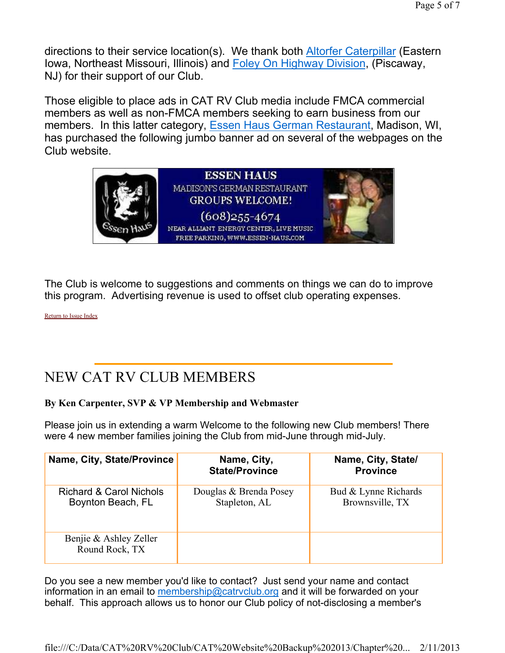directions to their service location(s). We thank both Altorfer Caterpillar (Eastern Iowa, Northeast Missouri, Illinois) and Foley On Highway Division, (Piscaway, NJ) for their support of our Club.

Those eligible to place ads in CAT RV Club media include FMCA commercial members as well as non-FMCA members seeking to earn business from our members. In this latter category, Essen Haus German Restaurant, Madison, WI, has purchased the following jumbo banner ad on several of the webpages on the Club website.



The Club is welcome to suggestions and comments on things we can do to improve this program. Advertising revenue is used to offset club operating expenses.

Return to Issue Index

## NEW CAT RV CLUB MEMBERS

#### **By Ken Carpenter, SVP & VP Membership and Webmaster**

Please join us in extending a warm Welcome to the following new Club members! There were 4 new member families joining the Club from mid-June through mid-July.

| Name, City, State/Province                              | Name, City,<br><b>State/Province</b>    | Name, City, State/<br><b>Province</b>   |
|---------------------------------------------------------|-----------------------------------------|-----------------------------------------|
| <b>Richard &amp; Carol Nichols</b><br>Boynton Beach, FL | Douglas & Brenda Posey<br>Stapleton, AL | Bud & Lynne Richards<br>Brownsville, TX |
| Benjie & Ashley Zeller<br>Round Rock, TX                |                                         |                                         |

Do you see a new member you'd like to contact? Just send your name and contact information in an email to membership@catrvclub.org and it will be forwarded on your behalf. This approach allows us to honor our Club policy of not-disclosing a member's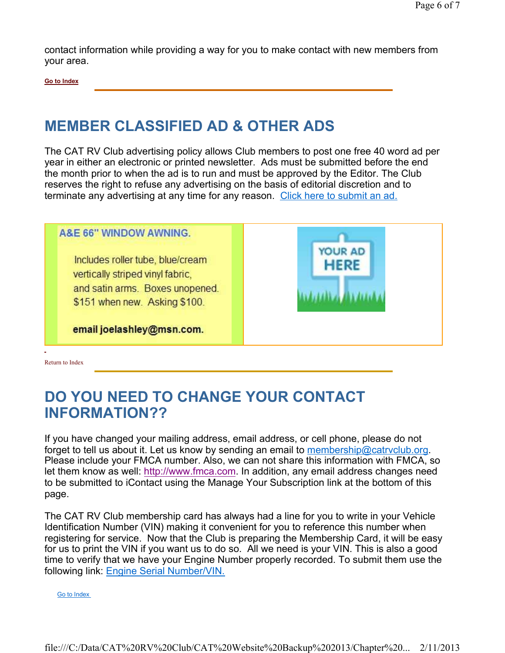contact information while providing a way for you to make contact with new members from your area.

**Go to Index**

## **MEMBER CLASSIFIED AD & OTHER ADS**

The CAT RV Club advertising policy allows Club members to post one free 40 word ad per year in either an electronic or printed newsletter. Ads must be submitted before the end the month prior to when the ad is to run and must be approved by the Editor. The Club reserves the right to refuse any advertising on the basis of editorial discretion and to terminate any advertising at any time for any reason. Click here to submit an ad.



Return to Index

## **DO YOU NEED TO CHANGE YOUR CONTACT INFORMATION??**

If you have changed your mailing address, email address, or cell phone, please do not forget to tell us about it. Let us know by sending an email to membership@catrvclub.org. Please include your FMCA number. Also, we can not share this information with FMCA, so let them know as well: http://www.fmca.com. In addition, any email address changes need to be submitted to iContact using the Manage Your Subscription link at the bottom of this page.

The CAT RV Club membership card has always had a line for you to write in your Vehicle Identification Number (VIN) making it convenient for you to reference this number when registering for service. Now that the Club is preparing the Membership Card, it will be easy for us to print the VIN if you want us to do so. All we need is your VIN. This is also a good time to verify that we have your Engine Number properly recorded. To submit them use the following link: Engine Serial Number/VIN.

Go to Index